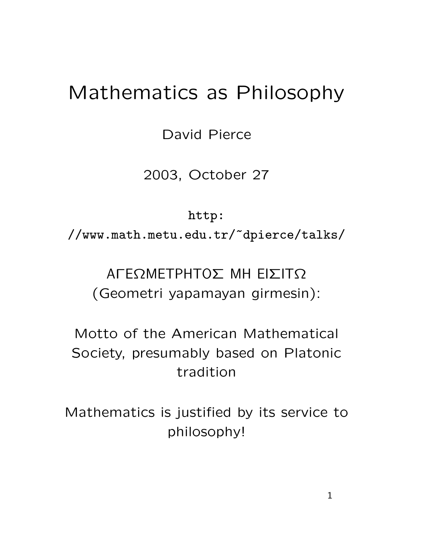## Mathematics as Philosophy

David Pierce

2003, October 27

http:

//www.math.metu.edu.tr/~dpierce/talks/

## AΓEΩMETPHTOΣ MH EIΣITΩ (Geometri yapamayan girmesin):

Motto of the American Mathematical Society, presumably based on Platonic tradition

Mathematics is justified by its service to philosophy!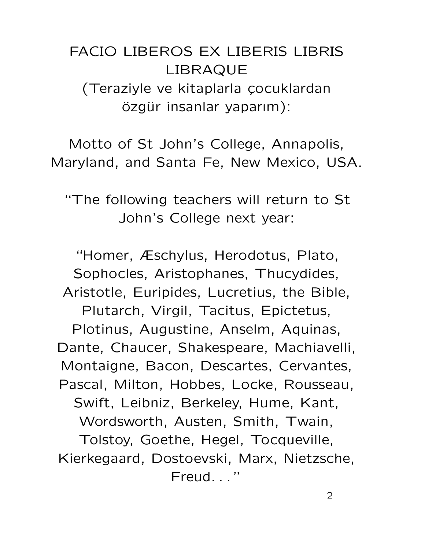FACIO LIBEROS EX LIBERIS LIBRIS LIBRAQUE (Teraziyle ve kitaplarla çocuklardan özgür insanlar yaparım):

Motto of St John's College, Annapolis, Maryland, and Santa Fe, New Mexico, USA.

"The following teachers will return to St John's College next year:

"Homer, Æschylus, Herodotus, Plato, Sophocles, Aristophanes, Thucydides, Aristotle, Euripides, Lucretius, the Bible, Plutarch, Virgil, Tacitus, Epictetus, Plotinus, Augustine, Anselm, Aquinas, Dante, Chaucer, Shakespeare, Machiavelli, Montaigne, Bacon, Descartes, Cervantes, Pascal, Milton, Hobbes, Locke, Rousseau, Swift, Leibniz, Berkeley, Hume, Kant, Wordsworth, Austen, Smith, Twain, Tolstoy, Goethe, Hegel, Tocqueville, Kierkegaard, Dostoevski, Marx, Nietzsche, Freud. . . "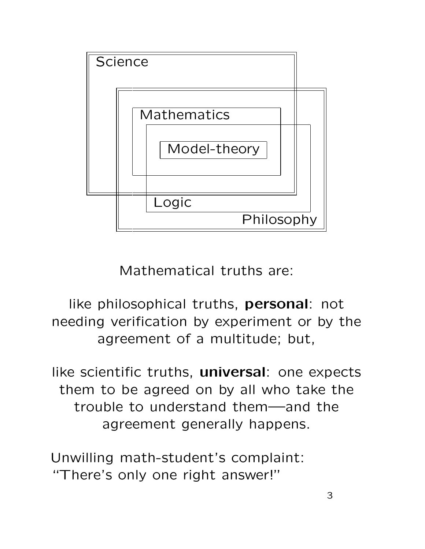

Mathematical truths are:

like philosophical truths, personal: not needing verification by experiment or by the agreement of a multitude; but,

like scientific truths, universal: one expects them to be agreed on by all who take the trouble to understand them—and the agreement generally happens.

Unwilling math-student's complaint: "There's only one right answer!"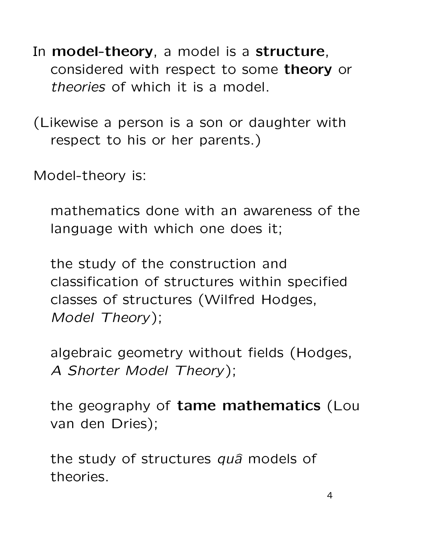- In model-theory, a model is a structure, considered with respect to some theory or theories of which it is a model.
- (Likewise a person is a son or daughter with respect to his or her parents.)

Model-theory is:

mathematics done with an awareness of the language with which one does it;

the study of the construction and classification of structures within specified classes of structures (Wilfred Hodges, Model Theory);

algebraic geometry without fields (Hodges, A Shorter Model Theory);

the geography of tame mathematics (Lou van den Dries);

the study of structures quâ models of theories.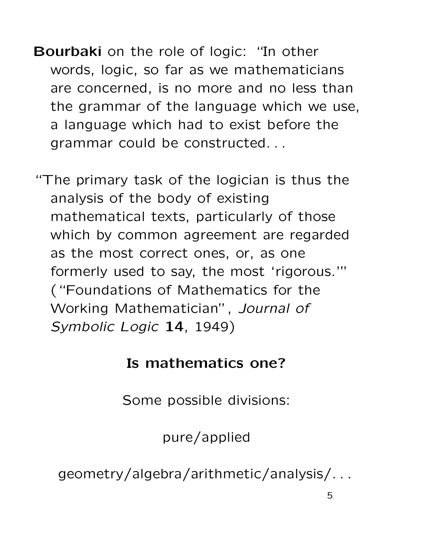Bourbaki on the role of logic: "In other words, logic, so far as we mathematicians are concerned, is no more and no less than the grammar of the language which we use, a language which had to exist before the grammar could be constructed. . .

"The primary task of the logician is thus the analysis of the body of existing mathematical texts, particularly of those which by common agreement are regarded as the most correct ones, or, as one formerly used to say, the most 'rigorous.'" ("Foundations of Mathematics for the Working Mathematician", Journal of Symbolic Logic 14, 1949)

## Is mathematics one?

Some possible divisions:

pure/applied

geometry/algebra/arithmetic/analysis/. . .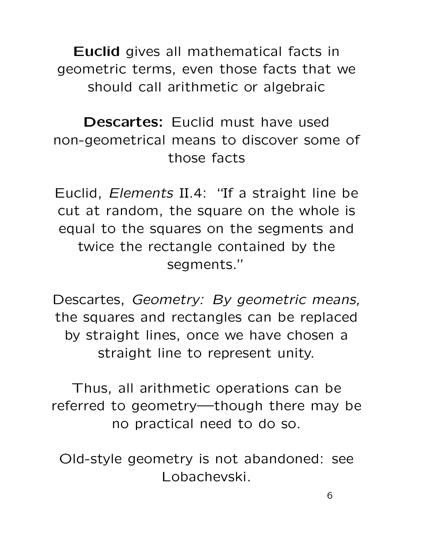Euclid gives all mathematical facts in geometric terms, even those facts that we should call arithmetic or algebraic

Descartes: Fuclid must have used non-geometrical means to discover some of those facts

Euclid, Elements II.4: "If a straight line be cut at random, the square on the whole is equal to the squares on the segments and twice the rectangle contained by the segments."

Descartes, Geometry: By geometric means, the squares and rectangles can be replaced by straight lines, once we have chosen a straight line to represent unity.

Thus, all arithmetic operations can be referred to geometry—though there may be no practical need to do so.

Old-style geometry is not abandoned: see Lobachevski.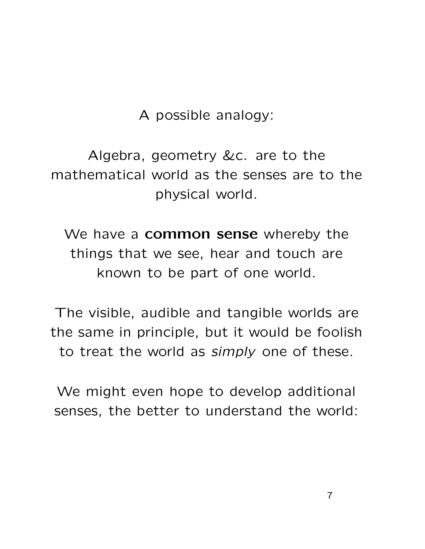A possible analogy:

Algebra, geometry &c. are to the mathematical world as the senses are to the physical world.

We have a **common sense** whereby the things that we see, hear and touch are known to be part of one world.

The visible, audible and tangible worlds are the same in principle, but it would be foolish to treat the world as simply one of these.

We might even hope to develop additional senses, the better to understand the world: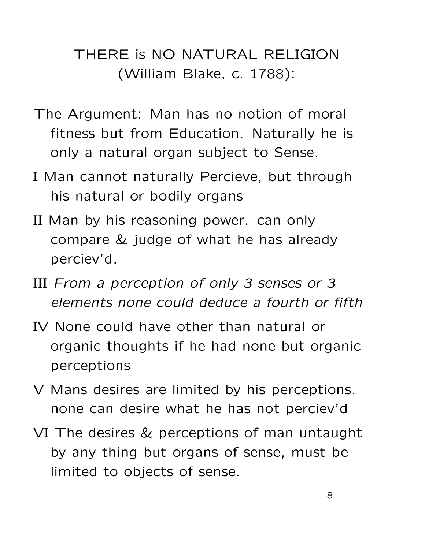## THERE is NO NATURAL RELIGION (William Blake, c. 1788):

- The Argument: Man has no notion of moral fitness but from Education. Naturally he is only a natural organ subject to Sense.
- I Man cannot naturally Percieve, but through his natural or bodily organs
- II Man by his reasoning power. can only compare & judge of what he has already perciev'd.
- III From a perception of only 3 senses or 3 elements none could deduce a fourth or fifth
- IV None could have other than natural or organic thoughts if he had none but organic perceptions
- V Mans desires are limited by his perceptions. none can desire what he has not perciev'd
- VI The desires & perceptions of man untaught by any thing but organs of sense, must be limited to objects of sense.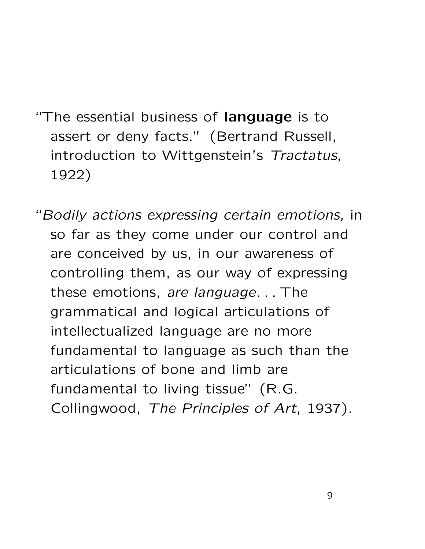- "The essential business of language is to assert or deny facts." (Bertrand Russell, introduction to Wittgenstein's Tractatus, 1922)
- "Bodily actions expressing certain emotions, in so far as they come under our control and are conceived by us, in our awareness of controlling them, as our way of expressing these emotions, are language. . . The grammatical and logical articulations of intellectualized language are no more fundamental to language as such than the articulations of bone and limb are fundamental to living tissue" (R.G. Collingwood, The Principles of Art, 1937).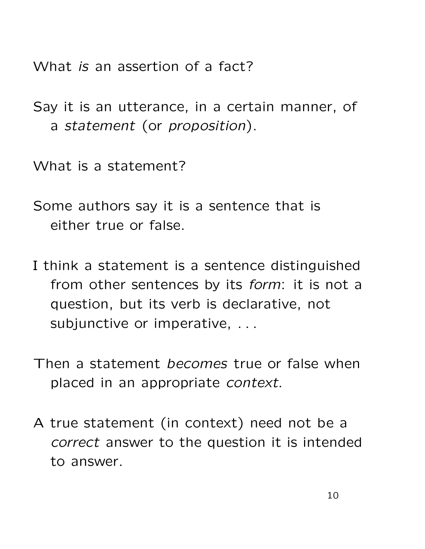What *is* an assertion of a fact?

Say it is an utterance, in a certain manner, of a statement (or proposition).

What is a statement?

Some authors say it is a sentence that is either true or false.

- I think a statement is a sentence distinguished from other sentences by its *form*: it is not a question, but its verb is declarative, not subjunctive or imperative, ...
- Then a statement *becomes* true or false when placed in an appropriate context.
- A true statement (in context) need not be a correct answer to the question it is intended to answer.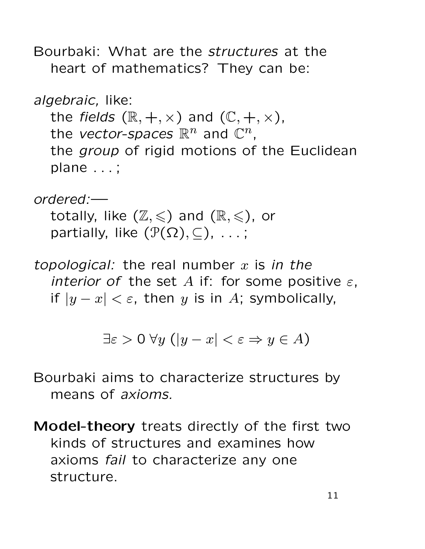Bourbaki: What are the structures at the heart of mathematics? They can be:

```
algebraic, like:
the fields (\mathbb{R}, +, \times) and (\mathbb{C}, +, \times),
the vector-spaces \mathbb{R}^n and \mathbb{C}^n,
the group of rigid motions of the Euclidean
plane . . . ;
```
ordered: totally, like  $(\mathbb{Z}, \leqslant)$  and  $(\mathbb{R}, \leqslant)$ , or partially, like  $(\mathcal{P}(\Omega), \subseteq)$ , ...;

topological: the real number  $x$  is in the interior of the set A if: for some positive  $\varepsilon$ , if  $|y-x| < \varepsilon$ , then y is in A; symbolically,

$$
\exists \varepsilon > 0 \; \forall y \; (|y - x| < \varepsilon \Rightarrow y \in A)
$$

Bourbaki aims to characterize structures by means of axioms.

Model-theory treats directly of the first two kinds of structures and examines how axioms fail to characterize any one structure.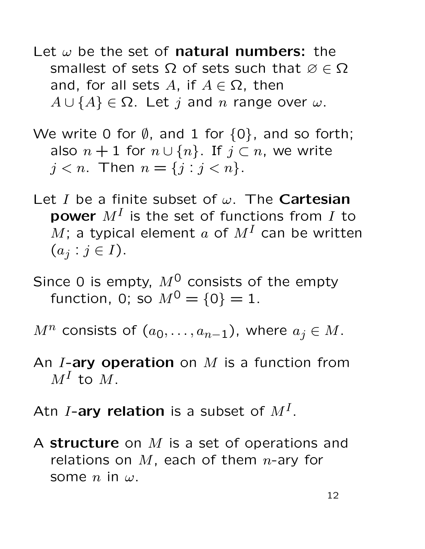- Let  $\omega$  be the set of **natural numbers:** the smallest of sets  $\Omega$  of sets such that  $\varnothing \in \Omega$ and, for all sets A, if  $A \in \Omega$ , then  $A \cup \{A\} \in \Omega$ . Let j and n range over  $\omega$ .
- We write 0 for  $\emptyset$ , and 1 for  $\{0\}$ , and so forth; also  $n + 1$  for  $n \cup \{n\}$ . If  $j \subset n$ , we write  $j < n$ . Then  $n = \{j : j < n\}$ .
- Let I be a finite subset of  $\omega$ . The **Cartesian power**  $M^I$  is the set of functions from  $I$  to M; a typical element a of  $M<sup>I</sup>$  can be written  $(a_j : j \in I).$
- Since 0 is empty,  $M^0$  consists of the empty function, 0; so  $M^0 = \{0\} = 1$ .
- $M^n$  consists of  $(a_0, \ldots, a_{n-1})$ , where  $a_j \in M$ .
- An *I*-ary operation on  $M$  is a function from  $M^I$  to  $M$ .
- Atn I-ary relation is a subset of  $M^I$ .
- A structure on  $M$  is a set of operations and relations on  $M$ , each of them *n*-ary for some n in  $\omega$ .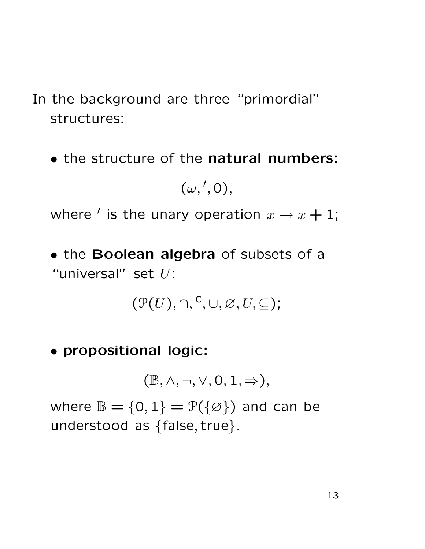- In the background are three "primordial" structures:
	- the structure of the natural numbers:

 $(\omega, ', 0),$ 

where  $'$  is the unary operation  $x \mapsto x + 1$ ;

• the Boolean algebra of subsets of a "universal" set  $U$ :

$$
(\mathcal{P}(U), \cap, {}^c, \cup, \varnothing, U, \subseteq);
$$

• propositional logic:

 $(\mathbb{B}, \wedge, \neg, \vee, 0, 1, \Rightarrow),$ 

where  $\mathbb{B} = \{0, 1\} = \mathcal{P}(\{\emptyset\})$  and can be understood as {false, true}.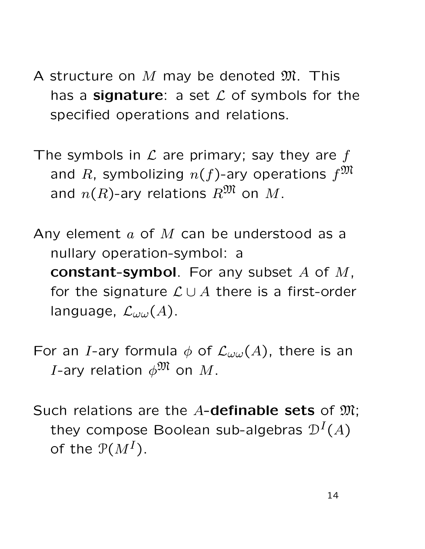- A structure on  $M$  may be denoted  $\mathfrak{M}$ . This has a signature: a set  $\mathcal L$  of symbols for the specified operations and relations.
- The symbols in  $\mathcal L$  are primary; say they are f and R, symbolizing  $n(f)$ -ary operations  $f^{\mathfrak{M}}$ and  $n(R)$ -ary relations  $R^{\mathfrak{M}}$  on  $M$ .
- Any element  $a$  of  $M$  can be understood as a nullary operation-symbol: a constant-symbol. For any subset  $A$  of  $M$ , for the signature  $\mathcal{L} \cup A$  there is a first-order language,  $\mathcal{L}_{\omega \omega}(A)$ .
- For an I-ary formula  $\phi$  of  $\mathcal{L}_{\omega\omega}(A)$ , there is an *I*-ary relation  $\phi^{\mathfrak{M}}$  on M.
- Such relations are the  $A$ -definable sets of  $\mathfrak{M}$ ; they compose Boolean sub-algebras  $\mathcal{D}^{I}(A)$ of the  $P(M^I)$ .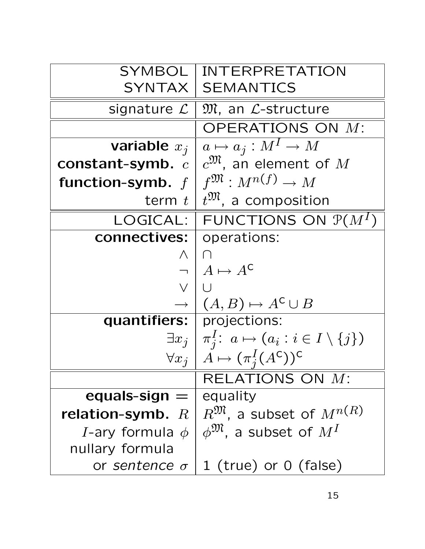| SYMBOL                       | <b>INTERPRETATION</b>                                                 |
|------------------------------|-----------------------------------------------------------------------|
|                              | SYNTAX   SEMANTICS                                                    |
| signature $\mathcal{L}$      | $\mathfrak{M}$ , an $\mathcal{L}\text{-structure}$                    |
|                              | OPERATIONS ON M:                                                      |
| variable $x_i$               | $a \mapsto a_j : M^I \to M$                                           |
| constant-symb. $c$           | $c^{\mathfrak{M}}$ , an element of M                                  |
| function-symb. $f$           | $f^{\mathfrak{M}}: M^{n(f)} \rightarrow M$                            |
| term $t_1$                   | $t^{\mathfrak{M}}$ , a composition                                    |
| LOGICAL: I                   | FUNCTIONS ON $\mathcal{P}(M^I)$                                       |
| connectives:                 | operations:                                                           |
| $\bigwedge$                  | ∩                                                                     |
|                              | $A \mapsto A^{\mathsf{C}}$                                            |
| $\vee$                       |                                                                       |
|                              | $(A, B) \mapsto A^{\mathsf{C}} \cup B$                                |
| quantifiers:   projections:  |                                                                       |
|                              | $\exists x_j \mid \pi_i^I: a \mapsto (a_i : i \in I \setminus \{j\})$ |
| $\forall x_i$                | $\AA \mapsto (\pi_i^I(A^c))^c$                                        |
|                              | RELATIONS ON M:                                                       |
| equals-sign $=$              | equality                                                              |
| relation-symb. $R$           | $R^{\mathfrak{M}}$ , a subset of $M^{n(R)}$                           |
| <i>I</i> -ary formula $\phi$ | $\phi^{\mathfrak{M}}$ , a subset of $M^I$                             |
| nullary formula              |                                                                       |
| or sentence $\sigma$         | 1 (true) or $0$ (false)                                               |